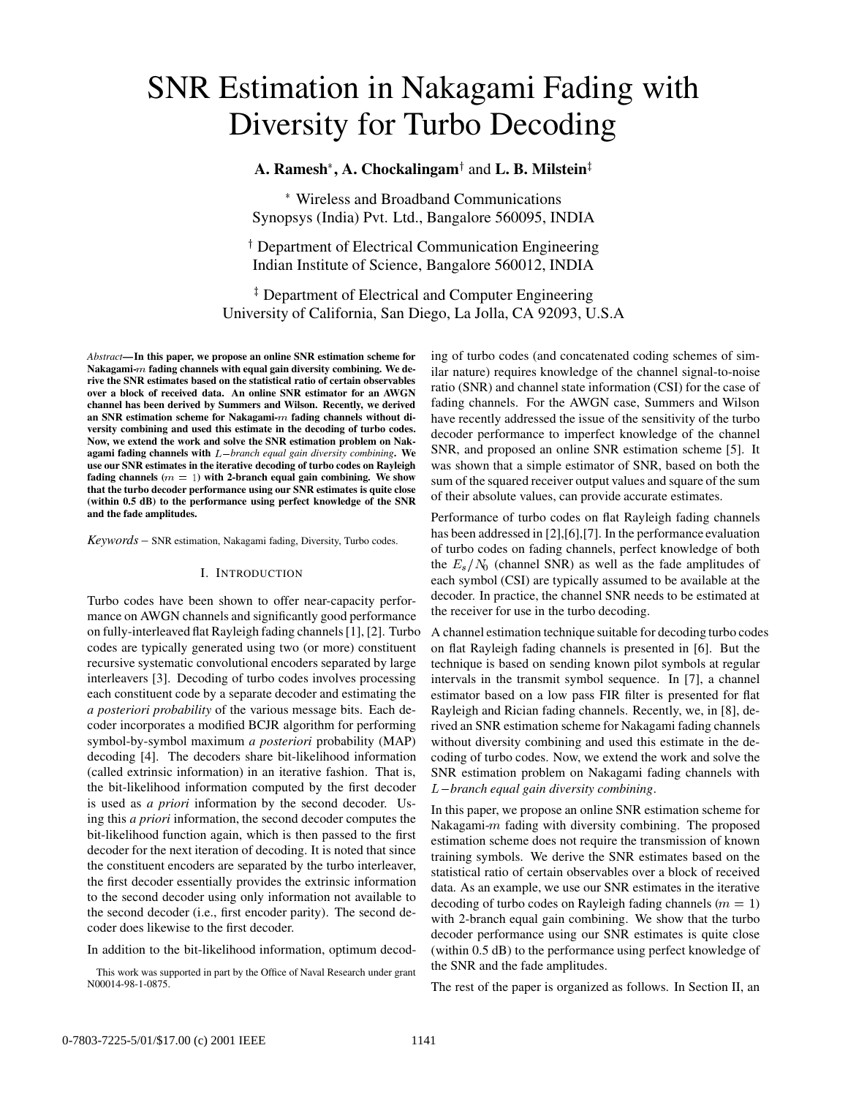# SNR Estimation in Nakagami Fading with Diversity for Turbo Decoding

 $\mathbf{A}.$  **Ramesh\*, A. Chockalingam<sup>†</sup> and <b>L. B. Milstein**‡

 Wireless and Broadband Communications Synopsys (India) Pvt. Ltd., Bangalore 560095, INDIA

<sup>†</sup> Department of Electrical Communication Engineering Indian Institute of Science, Bangalore 560012, INDIA

<sup>‡</sup> Department of Electrical and Computer Engineering University of California, San Diego, La Jolla, CA 92093, U.S.A

*Abstract***—In this paper, we propose an online SNR estimation scheme for Nakagami-**<sup>m</sup> **fading channels with equal gain diversity combining. We derive the SNR estimates based on the statistical ratio of certain observables over a block of received data. An online SNR estimator for an AWGN channel has been derived by Summers and Wilson. Recently, we derived an SNR estimation scheme for Nakagami-**<sup>m</sup> **fading channels without diversity combining and used this estimate in the decoding of turbo codes. Now, we extend the work and solve the SNR estimation problem on Nakagami fading channels with** L*branch equal gain diversity combining***. We use our SNR estimates in the iterative decoding of turbo codes on Rayleigh fading channels (**<sup>m</sup> = 1**) with 2-branch equal gain combining. We show that the turbo decoder performance using our SNR estimates is quite close (within 0.5 dB) to the performance using perfect knowledge of the SNR and the fade amplitudes.**

*Keywords* – SNR estimation, Nakagami fading, Diversity, Turbo codes.

#### I. INTRODUCTION

Turbo codes have been shown to offer near-capacity performance on AWGN channels and significantly good performance on fully-interleaved flat Rayleigh fading channels [1], [2]. Turbo codes are typically generated using two (or more) constituent recursive systematic convolutional encoders separated by large interleavers [3]. Decoding of turbo codes involves processing each constituent code by a separate decoder and estimating the *a posteriori probability* of the various message bits. Each decoder incorporates a modified BCJR algorithm for performing symbol-by-symbol maximum *a posteriori* probability (MAP) decoding [4]. The decoders share bit-likelihood information (called extrinsic information) in an iterative fashion. That is, the bit-likelihood information computed by the first decoder is used as *a priori* information by the second decoder. Using this *a priori* information, the second decoder computes the bit-likelihood function again, which is then passed to the first decoder for the next iteration of decoding. It is noted that since the constituent encoders are separated by the turbo interleaver, the first decoder essentially provides the extrinsic information to the second decoder using only information not available to the second decoder (i.e., first encoder parity). The second decoder does likewise to the first decoder.

In addition to the bit-likelihood information, optimum decod-

This work was supported in part by the Office of Naval Research under grant N00014-98-1-0875.

ing of turbo codes (and concatenated coding schemes of similar nature) requires knowledge of the channel signal-to-noise ratio (SNR) and channel state information (CSI) for the case of fading channels. For the AWGN case, Summers and Wilson have recently addressed the issue of the sensitivity of the turbo decoder performance to imperfect knowledge of the channel SNR, and proposed an online SNR estimation scheme [5]. It was shown that a simple estimator of SNR, based on both the sum of the squared receiver output values and square of the sum of their absolute values, can provide accurate estimates.

Performance of turbo codes on flat Rayleigh fading channels has been addressed in [2],[6],[7]. In the performance evaluation of turbo codes on fading channels, perfect knowledge of both the  $E_s/N_0$  (channel SNR) as well as the fade amplitudes of each symbol (CSI) are typically assumed to be available at the decoder. In practice, the channel SNR needs to be estimated at the receiver for use in the turbo decoding.

A channel estimation technique suitable for decoding turbo codes on flat Rayleigh fading channels is presented in [6]. But the technique is based on sending known pilot symbols at regular intervals in the transmit symbol sequence. In [7], a channel estimator based on a low pass FIR filter is presented for flat Rayleigh and Rician fading channels. Recently, we, in [8], derived an SNR estimation scheme for Nakagami fading channels without diversity combining and used this estimate in the decoding of turbo codes. Now, we extend the work and solve the SNR estimation problem on Nakagami fading channels with L*branch equal gain diversity combining*.

In this paper, we propose an online SNR estimation scheme for Nakagami- $m$  fading with diversity combining. The proposed estimation scheme does not require the transmission of known training symbols. We derive the SNR estimates based on the statistical ratio of certain observables over a block of received data. As an example, we use our SNR estimates in the iterative decoding of turbo codes on Rayleigh fading channels ( $m = 1$ ) with 2-branch equal gain combining. We show that the turbo decoder performance using our SNR estimates is quite close (within 0.5 dB) to the performance using perfect knowledge of the SNR and the fade amplitudes.

The rest of the paper is organized as follows. In Section II, an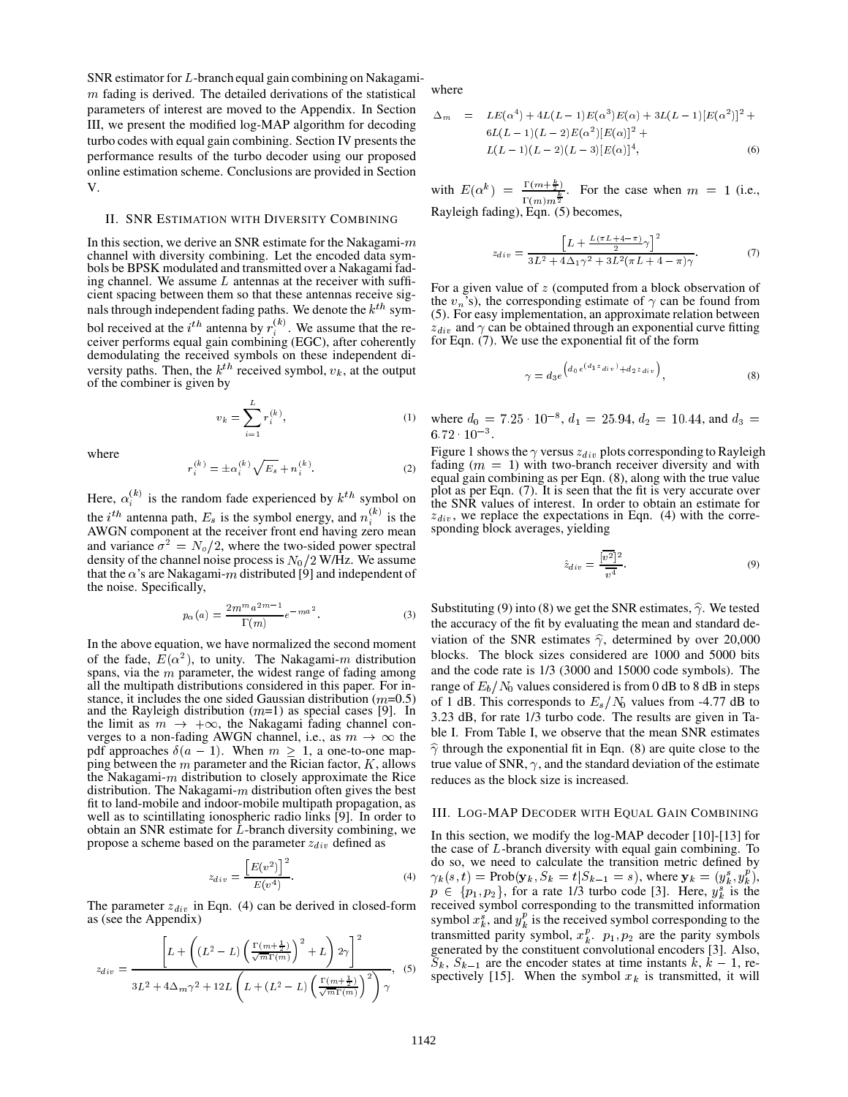SNR estimator for <sup>L</sup>-branch equal gain combining on Nakagami  $m$  fading is derived. The detailed derivations of the statistical parameters of interest are moved to the Appendix. In Section III, we present the modified log-MAP algorithm for decoding turbo codes with equal gain combining. Section IV presents the performance results of the turbo decoder using our proposed online estimation scheme. Conclusions are provided in Section V.

### II. SNR ESTIMATION WITH DIVERSITY COMBINING

In this section, we derive an SNR estimate for the Nakagami- $m$ channel with diversity combining. Let the encoded data symbols be BPSK modulated and transmitted over a Nakagami fading channel. We assume  $L$  antennas at the receiver with sufficient spacing between them so that these antennas receive signals through independent fading paths. We denote the  $k^{th}$  symbol received at the  $i^{th}$  antenna by  $r_i^{(k)}$ . We assume that the receiver performs equal gain combining (EGC), after coherently demodulating the received symbols on these independent diversity paths. Then, the  $k^{th}$  received symbol,  $v_k$ , at the output of the combiner is given by

$$
v_k = \sum_{i=1}^{L} r_i^{(k)},
$$
 (1)

where

$$
r_i^{(k)} = \pm \alpha_i^{(k)} \sqrt{E_s} + n_i^{(k)}.
$$
 (2)

Here,  $\alpha_i^{(k)}$  is the random fade experienced by  $k^{th}$  symbol on the *i*<sup>th</sup> antenna path,  $E_s$  is the symbol energy, and  $n_i^{(k)}$  is the AWGN component at the receiver front end having zero mean and variance  $\sigma^2 = N_o/2$ , where the two-sided power spectral density of the channel noise process is  $N_0/2$  W/Hz. We assume that the  $\alpha$ 's are Nakagami-m distributed [9] and independent of the noise. Specifically,

$$
p_{\alpha}(a) = \frac{2m^m a^{2m-1}}{\Gamma(m)} e^{-ma^2}.
$$
 (3)

In the above equation, we have normalized the second moment of the fade,  $E(\alpha^2)$ , to unity. The Nakagami-m distribution <sup>bl</sup> spans, via the  $m$  parameter, the widest range of fading among all the multipath distributions considered in this paper. For instance, it includes the one sided Gaussian distribution  $(m=0.5)$ and the Rayleigh distribution  $(m=1)$  as special cases [9]. In the limit as  $m \rightarrow +\infty$ , the Nakagami fading channel converges to a non-fading AWGN channel, i.e., as  $m \to \infty$  the <sup>DIE 1.</sup> From pdf approaches  $\delta(a - 1)$ . When  $m \ge 1$ , a one-to-one mapping between the  $m$  parameter and the Rician factor,  $K$ , allows the Nakagami- $m$  distribution to closely approximate the Rice distribution. The Nakagami- $m$  distribution often gives the best fit to land-mobile and indoor-mobile multipath propagation, as well as to scintillating ionospheric radio links [9]. In order to obtain an SNR estimate for  $\tilde{L}$ -branch diversity combining, we propose a scheme based on the parameter  $z_{div}$  defined as

$$
z_{div} = \frac{\left[E(v^2)\right]^2}{E(v^4)}.
$$
\n
$$
(4)
$$

The parameter  $z_{div}$  in Eqn. (4) can be derived in closed-form as (see the Appendix)

$$
z_{div} = \frac{\left[L + \left((L^2 - L)\left(\frac{\Gamma(m + \frac{1}{2})}{\sqrt{m}\Gamma(m)}\right)^2 + L\right)2\gamma\right]^2}{3L^2 + 4\Delta_m\gamma^2 + 12L\left(L + (L^2 - L)\left(\frac{\Gamma(m + \frac{1}{2})}{\sqrt{m}\Gamma(m)}\right)^2\right)\gamma}, \quad (5) \quad \text{Spcct}
$$

where

$$
\Delta_m = LE(\alpha^4) + 4L(L - 1)E(\alpha^3)E(\alpha) + 3L(L - 1)[E(\alpha^2)]^2 + 6L(L - 1)(L - 2)E(\alpha^2)[E(\alpha)]^2 + L(L - 1)(L - 2)(L - 3)[E(\alpha)]^4,
$$
\n(6)

with  $E(\alpha^k) = \frac{1 + (m + \frac{m}{2})}{k}$ . For the  $\frac{\Gamma(m+\frac{1}{2})}{\Gamma(m)m^{\frac{k}{2}}}$ . For the case when  $m = 1$  (i.e., Rayleigh fading), Eqn. (5) becomes,

$$
z_{div} = \frac{\left[L + \frac{L(\pi L + 4 - \pi)}{2}\gamma\right]^2}{3L^2 + 4\Delta_1\gamma^2 + 3L^2(\pi L + 4 - \pi)\gamma}.
$$
 (7)

For a given value of  $z$  (computed from a block observation of the  $v_n$ 's), the corresponding estimate of  $\gamma$  can be found from (5). For easy implementation, an approximate relation between  $z_{div}$  and  $\gamma$  can be obtained through an exponential curve fitting for Eqn. (7). We use the exponential fit of the form

$$
\gamma = d_3 e^{\left(d_0 e^{(d_1 z_{div})} + d_2 z_{div}\right)}, \tag{8}
$$

where  $d_0 = 7.25 \cdot 10^{-8}$ ,  $d_1 = 25.94$ ,  $d_2 = 10.44$ , and  $d_3 =$  $6.72 \cdot 10^{-3}$ .

Figure 1 shows the  $\gamma$  versus  $z_{div}$  plots corresponding to Rayleigh fading  $(m = 1)$  with two-branch receiver diversity and with equal gain combining as per Eqn. (8), along with the true value plot as per Eqn. (7). It is seen that the fit is very accurate over the SNR values of interest. In order to obtain an estimate for  $z_{div}$ , we replace the expectations in Eqn. (4) with the corresponding block averages, yielding

$$
\hat{z}_{div} = \frac{[\overline{v^2}]^2}{\overline{v^4}}.
$$
\n(9)

Substituting (9) into (8) we get the SNR estimates,  $\hat{\gamma}$ . We tested the accuracy of the fit by evaluating the mean and standard deviation of the SNR estimates  $\hat{\gamma}$ , determined by over 20,000 blocks. The block sizes considered are 1000 and 5000 bits and the code rate is 1/3 (3000 and 15000 code symbols). The range of  $E_b/N_0$  values considered is from 0 dB to 8 dB in steps of 1 dB. This corresponds to  $E_s/N_0$  values from -4.77 dB to 3.23 dB, for rate 1/3 turbo code. The results are given in Table I. From Table I, we observe that the mean SNR estimates  $\hat{\gamma}$  through the exponential fit in Eqn. (8) are quite close to the true value of SNR,  $\gamma$ , and the standard deviation of the estimate reduces as the block size is increased.

## III. LOG-MAP DECODER WITH EQUAL GAIN COMBINING

In this section, we modify the log-MAP decoder [10]-[13] for the case of <sup>L</sup>-branch diversity with equal gain combining. To do so, we need to calculate the transition metric defined by  $\gamma_k(s,t) = \text{Prob}(\mathbf{y}_k, S_k = t | S_{k-1} = s)$ , where  $\mathbf{y}_k = (y_k^s, y_k^p)$ ,  $p \in \{p_1, p_2\}$ , for a rate 1/3 turbo code [3]. Here,  $y_k^s$  is the received symbol corresponding to the transmitted information symbol  $x_k^s$ , and  $y_k^p$  is the received symbol corresponding to the transmitted parity symbol,  $x_k^p$ .  $p_1, p_2$  are the parity symbols generated by the constituent convolutional encoders [3]. Also,  $S_k$ ,  $S_{k-1}$  are the encoder states at time instants  $k, k - 1$ , respectively [15]. When the symbol  $x_k$  is transmitted, it will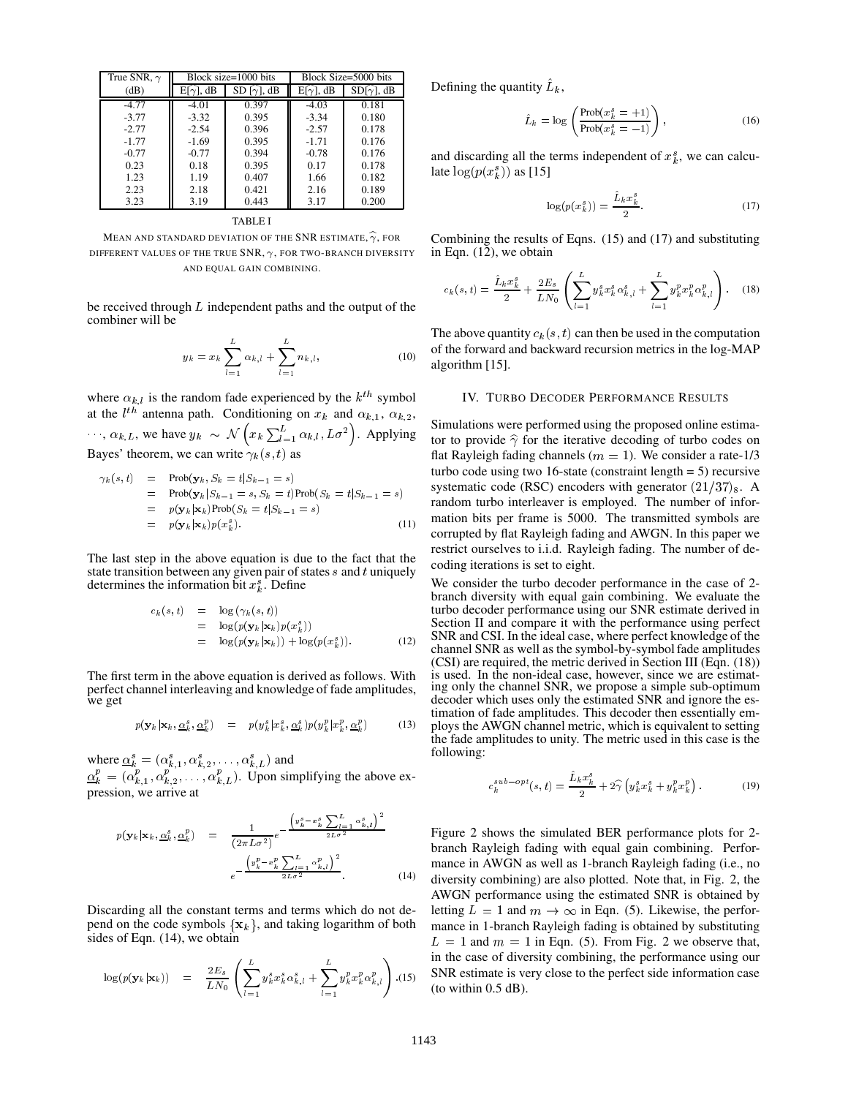| True SNR, $\gamma$ | Block size=1000 bits |                   | Block Size=5000 bits |                   |
|--------------------|----------------------|-------------------|----------------------|-------------------|
| (dB)               | $E[\gamma]$ , dB     | $SD[\gamma]$ , dB | $E[\gamma]$ , dB     | $SD[\gamma]$ , dB |
| $-4.77$            | $-4.01$              | 0.397             | $-4.03$              | 0.181             |
| $-3.77$            | $-3.32$              | 0.395             | $-3.34$              | 0.180             |
| $-2.77$            | $-2.54$              | 0.396             | $-2.57$              | 0.178             |
| $-1.77$            | $-1.69$              | 0.395             | $-1.71$              | 0.176             |
| $-0.77$            | $-0.77$              | 0.394             | $-0.78$              | 0.176             |
| 0.23               | 0.18                 | 0.395             | 0.17                 | 0.178             |
| 1.23               | 1.19                 | 0.407             | 1.66                 | 0.182             |
| 2.23               | 2.18                 | 0.421             | 2.16                 | 0.189             |
| 3.23               | 3.19                 | 0.443             | 3.17                 | 0.200             |

TABLE I

MEAN AND STANDARD DEVIATION OF THE SNR ESTIMATE,  $\widehat{\gamma}$ , FOR DIFFERENT VALUES OF THE TRUE SNR,  $\gamma$ , FOR TWO-BRANCH DIVERSITY AND EQUAL GAIN COMBINING.

be received through  $L$  independent paths and the output of the combiner will be

$$
y_k = x_k \sum_{l=1}^{L} \alpha_{k,l} + \sum_{l=1}^{L} n_{k,l},
$$
\n(10)

where  $\alpha_{k,l}$  is the random fade experienced by the  $k^{th}$  symbol at the  $l^{th}$  antenna path. Conditioning on  $x_k$  and  $\alpha_{k,1}, \alpha_{k,2}$ ,  $\cdots$ ,  $\alpha_{k,L}$ , we have  $y_k \sim \mathcal{N}\left(x_k \sum_{l=1}^L \alpha_{k,l}, L\sigma^2\right)$ . Applying Bayes' theorem, we can write  $\gamma_k (s, t)$  as

$$
\gamma_k(s,t) = \text{Prob}(\mathbf{y}_k, S_k = t | S_{k-1} = s) \tag{4.17}
$$
\n
$$
= \text{Prob}(\mathbf{y}_k | S_{k-1} = s, S_k = t) \text{Prob}(S_k = t | S_{k-1} = s) \tag{5.28}
$$
\n
$$
= p(\mathbf{y}_k | \mathbf{x}_k) \text{Prob}(S_k = t | S_{k-1} = s) \tag{11}
$$
\n
$$
= p(\mathbf{y}_k | \mathbf{x}_k) p(x_k^s). \tag{12}
$$

The last step in the above equation is due to the fact that the state transition between any given pair of states  $s$  and  $t$  uniquely determines the information bit  $x_k^s$ . Define

$$
c_k(s,t) = \log(\gamma_k(s,t))
$$
  
= 
$$
\log(p(\mathbf{y}_k|\mathbf{x}_k)p(x_k^s))
$$
  
= 
$$
\log(p(\mathbf{y}_k|\mathbf{x}_k)) + \log(p(x_k^s)).
$$
 (12)

The first term in the above equation is derived as follows. With perfect channel interleaving and knowledge of fade amplitudes, we get

$$
p(\mathbf{y}_k|\mathbf{x}_k, \underline{\alpha}_k^s, \underline{\alpha}_k^p) = p(y_k^s|x_k^s, \underline{\alpha}_k^s) p(y_k^p|x_k^p, \underline{\alpha}_k^p)
$$
(13)

where  $\underline{\alpha}_k^s = (\alpha_{k,1}^s, \alpha_{k,2}^s, \ldots, \alpha_{k,L}^s)$  and  $\underline{\alpha}_k^p = (\alpha_{k,1}^p, \alpha_{k,2}^p, \ldots, \alpha_{k,L}^p)$ . Upon simplifying the above expression, we arrive at

$$
p(\mathbf{y}_k|\mathbf{x}_k, \underline{\alpha}_k^s, \underline{\alpha}_k^p) = \frac{1}{(2\pi L\sigma^2)} e^{-\frac{\left(y_k^s - x_k^s \sum_{l=1}^L \alpha_{k,l}^s\right)^2}{2L\sigma^2}} \frac{1}{\sigma^2}
$$

$$
e^{-\frac{\left(y_k^p - x_k^p \sum_{l=1}^L \alpha_{k,l}^p\right)^2}{2L\sigma^2}}.
$$
(14)

Discarding all the constant terms and terms which do not depend on the code symbols  $\{x_k\}$ , and taking logarithm of both sides of Eqn. (14), we obtain

$$
\log(p(\mathbf{y}_k|\mathbf{x}_k)) = \frac{2E_s}{LN_0} \left( \sum_{l=1}^L y_k^s x_k^s \alpha_{k,l}^s + \sum_{l=1}^L y_k^p x_k^p \alpha_{k,l}^p \right) (15)
$$

Defining the quantity  $L_k$ ,

$$
\hat{L}_k = \log \left( \frac{\text{Prob}(x_k^s = +1)}{\text{Prob}(x_k^s = -1)} \right),\tag{16}
$$

and discarding all the terms independent of  $x_k^s$ , we can calculate  $log(p(x_k^s))$  as [15]

$$
\log(p(x_k^s)) = \frac{\hat{L}_k x_k^s}{2}.\tag{17}
$$

Combining the results of Eqns. (15) and (17) and substituting in Eqn. (12), we obtain

$$
c_k(s,t) = \frac{\hat{L}_k x_k^s}{2} + \frac{2E_s}{LN_0} \left( \sum_{l=1}^L y_k^s x_k^s \alpha_{k,l}^s + \sum_{l=1}^L y_k^p x_k^p \alpha_{k,l}^p \right). \tag{18}
$$

The above quantity  $c_k(s, t)$  can then be used in the computation of the forward and backward recursion metrics in the log-MAP algorithm [15].

#### IV. TURBO DECODER PERFORMANCE RESULTS

Simulations were performed using the proposed online estimator to provide  $\hat{\gamma}$  for the iterative decoding of turbo codes on flat Rayleigh fading channels ( $m = 1$ ). We consider a rate-1/3 turbo code using two 16-state (constraint length  $= 5$ ) recursive systematic code (RSC) encoders with generator  $(21/37)_8$ . A random turbo interleaver is employed. The number of information bits per frame is 5000. The transmitted symbols are corrupted by flat Rayleigh fading and AWGN. In this paper we restrict ourselves to i.i.d. Rayleigh fading. The number of decoding iterations is set to eight.

We consider the turbo decoder performance in the case of 2 branch diversity with equal gain combining. We evaluate the turbo decoder performance using our SNR estimate derived in Section II and compare it with the performance using perfect SNR and CSI. In the ideal case, where perfect knowledge of the channel SNR as well as the symbol-by-symbol fade amplitudes (CSI) are required, the metric derived in Section III (Eqn. (18)) is used. In the non-ideal case, however, since we are estimating only the channel SNR, we propose a simple sub-optimum decoder which uses only the estimated SNR and ignore the estimation of fade amplitudes. This decoder then essentially employs the AWGN channel metric, which is equivalent to setting the fade amplitudes to unity. The metric used in this case is the following:

$$
c_k^{sub-opt}(s,t) = \frac{\hat{L}_k x_k^s}{2} + 2\hat{\gamma} \left( y_k^s x_k^s + y_k^p x_k^p \right). \tag{19}
$$

 $\binom{p}{k}$   $\binom{p}{k}$  (15) SNR estimate is very close to the perfect side information case Figure 2 shows the simulated BER performance plots for 2 branch Rayleigh fading with equal gain combining. Performance in AWGN as well as 1-branch Rayleigh fading (i.e., no diversity combining) are also plotted. Note that, in Fig. 2, the AWGN performance using the estimated SNR is obtained by letting  $L = 1$  and  $m \to \infty$  in Eqn. (5). Likewise, the performance in 1-branch Rayleigh fading is obtained by substituting  $L = 1$  and  $m = 1$  in Eqn. (5). From Fig. 2 we observe that, in the case of diversity combining, the performance using our (to within 0.5 dB).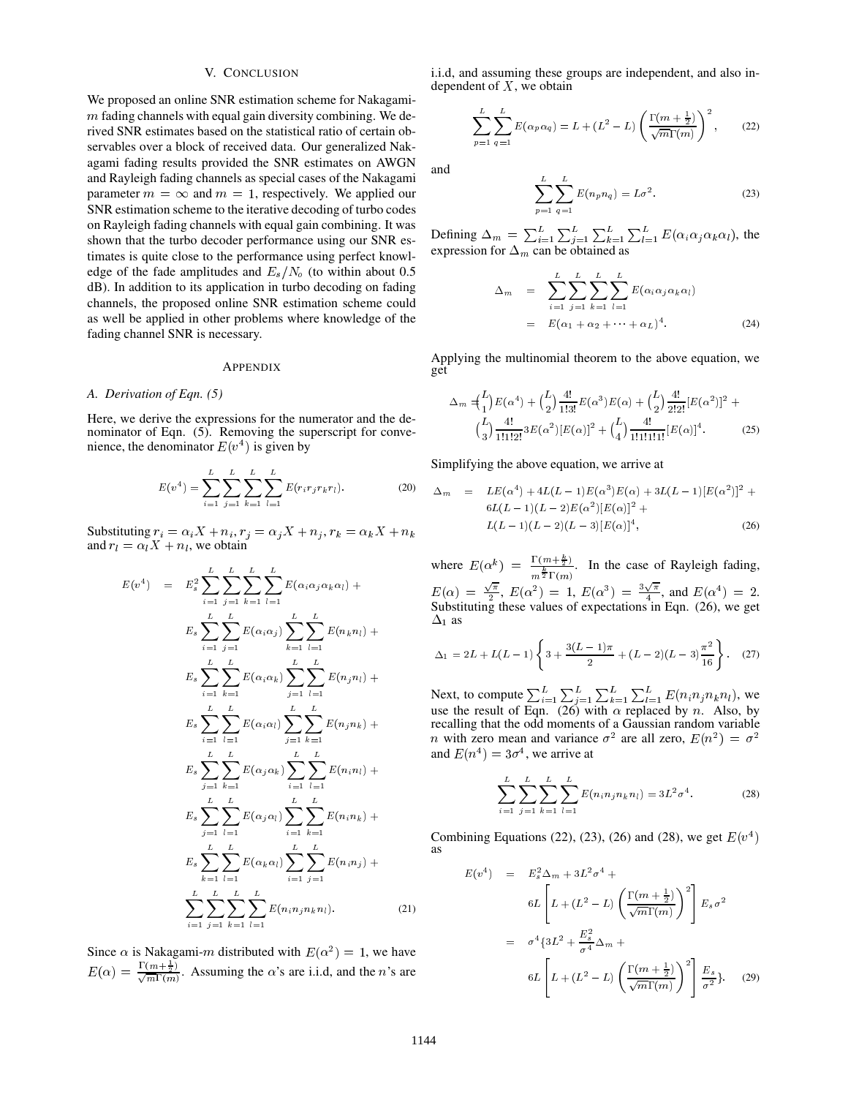# V. CONCLUSION

We proposed an online SNR estimation scheme for Nakagami  $m$  fading channels with equal gain diversity combining. We derived SNR estimates based on the statistical ratio of certain observables over a block of received data. Our generalized Nakagami fading results provided the SNR estimates on AWGN and Rayleigh fading channels as special cases of the Nakagami parameter  $m = \infty$  and  $m = 1$ , respectively. We applied our SNR estimation scheme to the iterative decoding of turbo codes on Rayleigh fading channels with equal gain combining. It was shown that the turbo decoder performance using our SNR estimates is quite close to the performance using perfect knowledge of the fade amplitudes and  $E_s/N_o$  (to within about 0.5 dB). In addition to its application in turbo decoding on fading channels, the proposed online SNR estimation scheme could as well be applied in other problems where knowledge of the fading channel SNR is necessary.

#### APPENDIX

### *A. Derivation of Eqn. (5)*

Here, we derive the expressions for the numerator and the denominator of Eqn. (5). Removing the superscript for convenience, the denominator  $E(v^4)$  is given by

$$
E(v^4) = \sum_{i=1}^{L} \sum_{j=1}^{L} \sum_{k=1}^{L} \sum_{l=1}^{L} E(r_i r_j r_k r_l).
$$
 (20)

Substituting  $r_i = \alpha_i X + n_i$ ,  $r_j = \alpha_j X + n_j$ ,  $r_k = \alpha_k X + n_k$ and  $r_l = \alpha_l X + n_l$ , we obtain

$$
E(v^{4}) = E_{s}^{2} \sum_{i=1}^{L} \sum_{j=1}^{L} \sum_{k=1}^{L} \sum_{l=1}^{L} E(\alpha_{i} \alpha_{j} \alpha_{k} \alpha_{l}) + E(\text{Sul})
$$
\n
$$
E_{s} \sum_{i=1}^{L} \sum_{j=1}^{L} E(\alpha_{i} \alpha_{j}) \sum_{k=1}^{L} \sum_{l=1}^{L} E(n_{k} n_{l}) + \sum_{i=1}^{L} \sum_{k=1}^{L} E(\alpha_{i} \alpha_{k}) \sum_{j=1}^{L} \sum_{l=1}^{L} E(n_{j} n_{l}) + \sum_{i=1}^{L} \sum_{l=1}^{L} E(\alpha_{i} \alpha_{l}) \sum_{j=1}^{L} \sum_{k=1}^{L} E(n_{j} n_{k}) + \sum_{i=1}^{L} \sum_{k=1}^{L} E(n_{i} n_{k}) + \text{rec}
$$
\n
$$
E_{s} \sum_{j=1}^{L} \sum_{k=1}^{L} E(\alpha_{j} \alpha_{k}) \sum_{i=1}^{L} \sum_{l=1}^{L} E(n_{i} n_{l}) + \sum_{i=1}^{L} \sum_{l=1}^{L} E(n_{i} n_{l}) + \sum_{j=1}^{L} \sum_{l=1}^{L} E(\alpha_{j} \alpha_{l}) \sum_{i=1}^{L} \sum_{k=1}^{L} E(n_{i} n_{k}) + \sum_{k=1}^{L} \sum_{l=1}^{L} E(\alpha_{k} \alpha_{l}) \sum_{i=1}^{L} \sum_{j=1}^{L} E(n_{i} n_{j}) + \sum_{i=1}^{L} \sum_{j=1}^{L} E(n_{i} n_{j} n_{k} n_{l}). \tag{21}
$$

Since  $\alpha$  is Nakagami-m distributed with  $E(\alpha^2) = 1$ , we have  $E(\alpha) = \frac{1(m+\frac{1}{2})}{\sqrt{m}\Gamma(m)}$ . Assuming the  $\alpha$ 's are i.i.d, and the *n*'s are i.i.d, and assuming these groups are independent, and also independent of  $X$ , we obtain

$$
\sum_{p=1}^{L} \sum_{q=1}^{L} E(\alpha_p \alpha_q) = L + (L^2 - L) \left( \frac{\Gamma(m + \frac{1}{2})}{\sqrt{m} \Gamma(m)} \right)^2, \quad (22)
$$

and

$$
\sum_{p=1}^{L} \sum_{q=1}^{L} E(n_p n_q) = L\sigma^2.
$$
 (23)

Defining  $\Delta_m = \sum_{i=1}^L \sum_{j=1}^L \sum_{k=1}^L \sum_{l=1}^L E(\alpha_i \alpha_j \alpha_k \alpha_l)$ , the expression for  $\Delta_m$  can be obtained as

$$
\Delta_m = \sum_{i=1}^{L} \sum_{j=1}^{L} \sum_{k=1}^{L} \sum_{l=1}^{L} E(\alpha_i \alpha_j \alpha_k \alpha_l)
$$
  
=  $E(\alpha_1 + \alpha_2 + \dots + \alpha_L)^4$ . (24)

Applying the multinomial theorem to the above equation, we get

$$
\Delta_m = \binom{L}{1} E(\alpha^4) + \binom{L}{2} \frac{4!}{1!3!} E(\alpha^3) E(\alpha) + \binom{L}{2} \frac{4!}{2!2!} [E(\alpha^2)]^2 + \binom{L}{3} \frac{4!}{1!1!2!} 3E(\alpha^2) [E(\alpha)]^2 + \binom{L}{4} \frac{4!}{1!1!1!1!} [E(\alpha)]^4.
$$
 (25)

Simplifying the above equation, we arrive at

$$
\Delta_m = LE(\alpha^4) + 4L(L - 1)E(\alpha^3)E(\alpha) + 3L(L - 1)[E(\alpha^2)]^2 + 6L(L - 1)(L - 2)E(\alpha^2)[E(\alpha)]^2 + L(L - 1)(L - 2)(L - 3)[E(\alpha)]^4,
$$
\n(26)

where  $E(\alpha^k) = \frac{1}{m^{\frac{k}{2}} \Gamma(m)}$ . In the case of Rayleigh fading, E() <sup>=</sup>  $\frac{\sqrt{\pi}}{2}$ ,  $E(\alpha^2) = 1$ ,  $E(\alpha^3) = \frac{3\sqrt{\pi}}{4}$ , and  $E(\alpha^4) = 2$ . Substituting these values of expectations in Eqn. (26), we get  $\Delta_1$  as

$$
\Delta_1 = 2L + L(L-1)\left\{3 + \frac{3(L-1)\pi}{2} + (L-2)(L-3)\frac{\pi^2}{16}\right\}.
$$
 (27)

 $\sum_{i=1}^{L} \sum_{j=1}^{L} \sum_{i=1}^{L} \sum_{j=1}^{L} \sum_{k=1}^{L} \sum_{l=1}^{L} E(n_i n_j n_k n_l)$ , we  $\sum_{k=1}^{\infty} E(n_j n_k)$  Finding that the odd moments of a Gaussian random variable use the result of Eqn. (26) with  $\alpha$  replaced by n. Also, by recalling that the odd moments of a Gaussian random variable and  $E(n^4) = 3\sigma^4$ , we arrive at

$$
\sum_{i=1}^{L} \sum_{j=1}^{L} \sum_{k=1}^{L} \sum_{l=1}^{L} E(n_i n_j n_k n_l) = 3L^2 \sigma^4.
$$
 (28)

Combining Equations (22), (23), (26) and (28), we get  $E(v<sup>4</sup>)$  $\mathbf{I}$  and  $\mathbf{I}$  and  $\mathbf{I}$  and  $\mathbf{I}$  and  $\mathbf{I}$  and  $\mathbf{I}$  and  $\mathbf{I}$  and  $\mathbf{I}$  and  $\mathbf{I}$  and  $\mathbf{I}$  and  $\mathbf{I}$  and  $\mathbf{I}$  and  $\mathbf{I}$  and  $\mathbf{I}$  and  $\mathbf{I}$  and  $\mathbf{I}$  and  $\mathbf{I}$  and as

$$
E(v4) = Es2 \Delta_m + 3L2 \sigma4 +
$$
  
\n
$$
6L \left[ L + (L2 - L) \left( \frac{\Gamma(m + \frac{1}{2})}{\sqrt{m} \Gamma(m)} \right)^2 \right] Es \sigma2
$$
  
\n
$$
= \sigma4 \{ 3L2 + \frac{Es2}{\sigma4} \Delta_m +
$$
  
\n
$$
6L \left[ L + (L2 - L) \left( \frac{\Gamma(m + \frac{1}{2})}{\sqrt{m} \Gamma(m)} \right)^2 \right] \frac{Es}{\sigma2}.
$$
 (29)